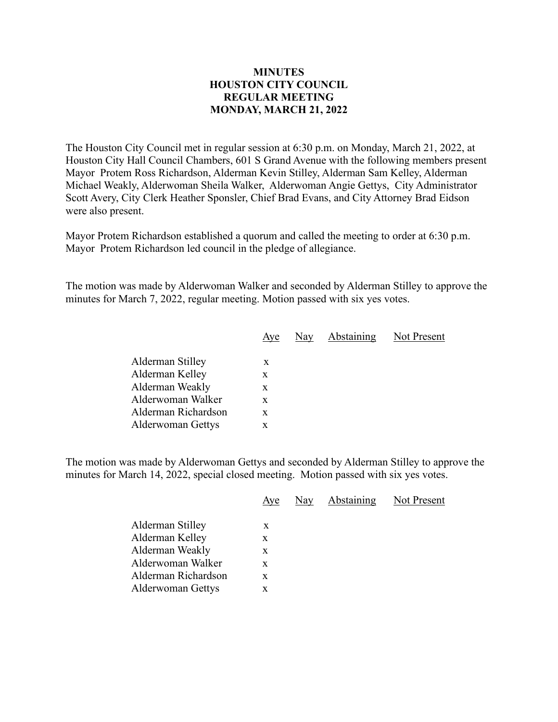## **MINUTES HOUSTON CITY COUNCIL REGULAR MEETING MONDAY, MARCH 21, 2022**

The Houston City Council met in regular session at 6:30 p.m. on Monday, March 21, 2022, at Houston City Hall Council Chambers, 601 S Grand Avenue with the following members present Mayor Protem Ross Richardson, Alderman Kevin Stilley, Alderman Sam Kelley, Alderman Michael Weakly, Alderwoman Sheila Walker, Alderwoman Angie Gettys, City Administrator Scott Avery, City Clerk Heather Sponsler, Chief Brad Evans, and City Attorney Brad Eidson were also present.

Mayor Protem Richardson established a quorum and called the meeting to order at 6:30 p.m. Mayor Protem Richardson led council in the pledge of allegiance.

The motion was made by Alderwoman Walker and seconded by Alderman Stilley to approve the minutes for March 7, 2022, regular meeting. Motion passed with six yes votes.

|                          | Aye | Nay Abstaining | Not Present |
|--------------------------|-----|----------------|-------------|
|                          |     |                |             |
| Alderman Stilley         | X   |                |             |
| Alderman Kelley          | X   |                |             |
| Alderman Weakly          | X   |                |             |
| Alderwoman Walker        | X   |                |             |
| Alderman Richardson      | X   |                |             |
| <b>Alderwoman Gettys</b> | x   |                |             |
|                          |     |                |             |

The motion was made by Alderwoman Gettys and seconded by Alderman Stilley to approve the minutes for March 14, 2022, special closed meeting. Motion passed with six yes votes.

|                                                                                                                         | Aye                        | Nay | <b>Abstaining</b> | Not Present |
|-------------------------------------------------------------------------------------------------------------------------|----------------------------|-----|-------------------|-------------|
| Alderman Stilley<br>Alderman Kelley<br>Alderman Weakly<br>Alderwoman Walker<br>Alderman Richardson<br>Alderwoman Gettys | X<br>X<br>X<br>X<br>X<br>X |     |                   |             |
|                                                                                                                         |                            |     |                   |             |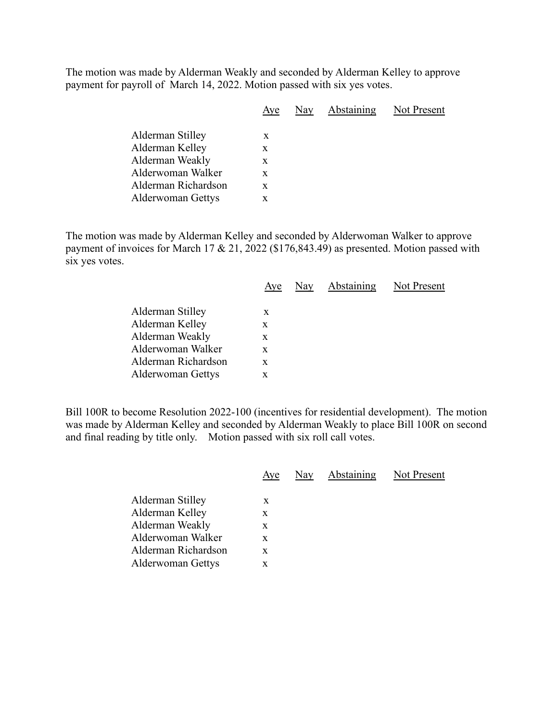The motion was made by Alderman Weakly and seconded by Alderman Kelley to approve payment for payroll of March 14, 2022. Motion passed with six yes votes.

| Aye | Nay | Abstaining | Not Present |
|-----|-----|------------|-------------|
|     |     |            |             |
| X   |     |            |             |
| X   |     |            |             |
| X   |     |            |             |
| X   |     |            |             |
| X   |     |            |             |
| X   |     |            |             |
|     |     |            |             |

The motion was made by Alderman Kelley and seconded by Alderwoman Walker to approve payment of invoices for March 17 & 21, 2022 (\$176,843.49) as presented. Motion passed with six yes votes.

|                          | Aye | Nay Abstaining Not Present |  |
|--------------------------|-----|----------------------------|--|
| Alderman Stilley         | X   |                            |  |
| Alderman Kelley          | X   |                            |  |
| Alderman Weakly          | X   |                            |  |
| Alderwoman Walker        | X   |                            |  |
| Alderman Richardson      | X   |                            |  |
| <b>Alderwoman Gettys</b> | X   |                            |  |
|                          |     |                            |  |

Bill 100R to become Resolution 2022-100 (incentives for residential development). The motion was made by Alderman Kelley and seconded by Alderman Weakly to place Bill 100R on second and final reading by title only. Motion passed with six roll call votes.

|                     | Aye | Nay Abstaining Not Present |  |
|---------------------|-----|----------------------------|--|
| Alderman Stilley    | X   |                            |  |
| Alderman Kelley     | X   |                            |  |
| Alderman Weakly     | X   |                            |  |
| Alderwoman Walker   | X   |                            |  |
| Alderman Richardson | X   |                            |  |
| Alderwoman Gettys   | X   |                            |  |
|                     |     |                            |  |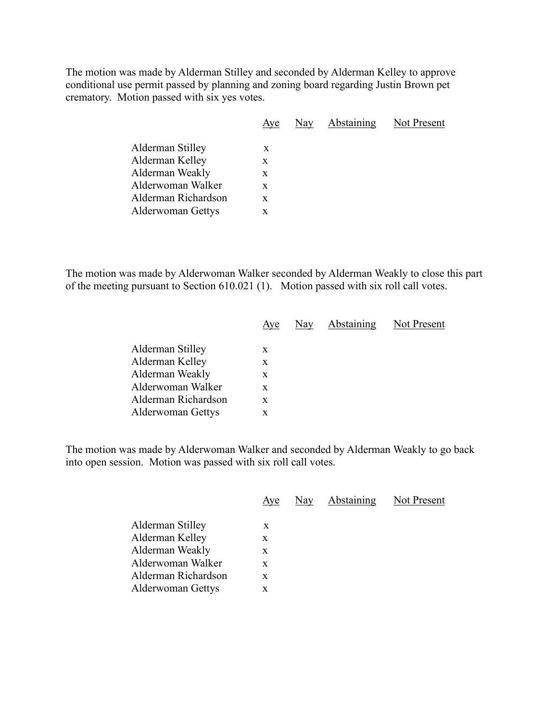The motion was made by Alderman Stilley and seconded by Alderman Kelley to approve conditional use permit passed by planning and zoning board regarding Justin Brown pet crematory. Motion passed with six yes votes.

|                                                                                                                         | Aye                        | Nay | Abstaining | Not Present |
|-------------------------------------------------------------------------------------------------------------------------|----------------------------|-----|------------|-------------|
| Alderman Stilley<br>Alderman Kelley<br>Alderman Weakly<br>Alderwoman Walker<br>Alderman Richardson<br>Alderwoman Gettys | X<br>X<br>X<br>X<br>X<br>X |     |            |             |
|                                                                                                                         |                            |     |            |             |

The motion was made by Alderwoman Walker seconded by Alderman Weakly to close this part of the meeting pursuant to Section 610.021 (1). Motion passed with six roll call votes.

|                          | Aye | Nay Abstaining Not Present |  |
|--------------------------|-----|----------------------------|--|
|                          |     |                            |  |
| Alderman Stilley         | X   |                            |  |
| Alderman Kelley          | X   |                            |  |
| Alderman Weakly          | X   |                            |  |
| Alderwoman Walker        | X   |                            |  |
| Alderman Richardson      | X   |                            |  |
| <b>Alderwoman Gettys</b> | X   |                            |  |

The motion was made by Alderwoman Walker and seconded by Alderman Weakly to go back into open session. Motion was passed with six roll call votes.

|                                                                                                                                | Aye                        | Nay | Abstaining | Not Present |
|--------------------------------------------------------------------------------------------------------------------------------|----------------------------|-----|------------|-------------|
| Alderman Stilley<br>Alderman Kelley<br>Alderman Weakly<br>Alderwoman Walker<br>Alderman Richardson<br><b>Alderwoman Gettys</b> | X<br>X<br>X<br>X<br>X<br>X |     |            |             |
|                                                                                                                                |                            |     |            |             |